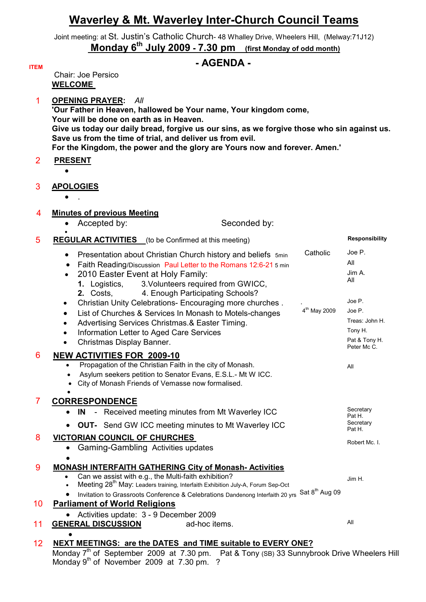# **Waverley & Mt. Waverley Inter-Church Council Teams**

Joint meeting: at St. Justin's Catholic Church- 48 Whalley Drive, Wheelers Hill, (Melway:71J12)  **Monday 6th July 2009 - 7.30 pm (first Monday of odd month)**

### **ITEM - AGENDA -**

 Chair: Joe Persico **WELCOME** 

1 **OPENING PRAYER:** *All*  **'Our Father in Heaven, hallowed be Your name, Your kingdom come, Your will be done on earth as in Heaven. Give us today our daily bread, forgive us our sins, as we forgive those who sin against us. Save us from the time of trial, and deliver us from evil. For the Kingdom, the power and the glory are Yours now and forever. Amen.'** 

2 **PRESENT** •

**ITEM** 

### 3 **APOLOGIES**

 $\bullet$  .

- 4 **Minutes of previous Meeting**
	- Accepted by: Seconded by:

#### • **5 REGULAR ACTIVITIES** (to be Confirmed at this meeting) **Responsibility Responsibility**

| Catholic<br>Presentation about Christian Church history and beliefs 5min<br>Faith Reading/Discussion Paul Letter to the Romans 12:6-21 5 min<br>2010 Easter Event at Holy Family:<br>1. Logistics,<br>3. Volunteers required from GWICC, | Joe P.<br>All<br>Jim A.<br>All                                                                                                                                                                                                                                                                                                                                                                                                                                                                                         |
|------------------------------------------------------------------------------------------------------------------------------------------------------------------------------------------------------------------------------------------|------------------------------------------------------------------------------------------------------------------------------------------------------------------------------------------------------------------------------------------------------------------------------------------------------------------------------------------------------------------------------------------------------------------------------------------------------------------------------------------------------------------------|
| Christian Unity Celebrations- Encouraging more churches.<br>$\bullet$                                                                                                                                                                    | Joe P.                                                                                                                                                                                                                                                                                                                                                                                                                                                                                                                 |
| List of Churches & Services In Monash to Motels-changes<br>$\bullet$                                                                                                                                                                     | Joe P.                                                                                                                                                                                                                                                                                                                                                                                                                                                                                                                 |
| Advertising Services Christmas.& Easter Timing.                                                                                                                                                                                          | Treas: John H.                                                                                                                                                                                                                                                                                                                                                                                                                                                                                                         |
| Information Letter to Aged Care Services<br>$\bullet$                                                                                                                                                                                    | Tony H.                                                                                                                                                                                                                                                                                                                                                                                                                                                                                                                |
| Christmas Display Banner.<br>$\bullet$                                                                                                                                                                                                   | Pat & Tony H.<br>Peter Mc C.                                                                                                                                                                                                                                                                                                                                                                                                                                                                                           |
| <b>NEW ACTIVITIES FOR 2009-10</b>                                                                                                                                                                                                        |                                                                                                                                                                                                                                                                                                                                                                                                                                                                                                                        |
| Propagation of the Christian Faith in the city of Monash.<br>Asylum seekers petition to Senator Evans, E.S.L.- Mt W ICC.<br>$\bullet$<br>City of Monash Friends of Vemasse now formalised.<br>$\bullet$                                  | All                                                                                                                                                                                                                                                                                                                                                                                                                                                                                                                    |
|                                                                                                                                                                                                                                          |                                                                                                                                                                                                                                                                                                                                                                                                                                                                                                                        |
| - Received meeting minutes from Mt Waverley ICC<br>- IN                                                                                                                                                                                  | Secretary<br>Pat H.                                                                                                                                                                                                                                                                                                                                                                                                                                                                                                    |
| <b>OUT-</b> Send GW ICC meeting minutes to Mt Waverley ICC                                                                                                                                                                               | Secretary<br>Pat H.                                                                                                                                                                                                                                                                                                                                                                                                                                                                                                    |
| <b>VICTORIAN COUNCIL OF CHURCHES</b>                                                                                                                                                                                                     |                                                                                                                                                                                                                                                                                                                                                                                                                                                                                                                        |
| Gaming-Gambling Activities updates                                                                                                                                                                                                       | Robert Mc. I.                                                                                                                                                                                                                                                                                                                                                                                                                                                                                                          |
|                                                                                                                                                                                                                                          |                                                                                                                                                                                                                                                                                                                                                                                                                                                                                                                        |
| <b>MONASH INTERFAITH GATHERING City of Monash-Activities</b>                                                                                                                                                                             |                                                                                                                                                                                                                                                                                                                                                                                                                                                                                                                        |
|                                                                                                                                                                                                                                          | Jim H.                                                                                                                                                                                                                                                                                                                                                                                                                                                                                                                 |
|                                                                                                                                                                                                                                          |                                                                                                                                                                                                                                                                                                                                                                                                                                                                                                                        |
|                                                                                                                                                                                                                                          |                                                                                                                                                                                                                                                                                                                                                                                                                                                                                                                        |
|                                                                                                                                                                                                                                          |                                                                                                                                                                                                                                                                                                                                                                                                                                                                                                                        |
|                                                                                                                                                                                                                                          | All                                                                                                                                                                                                                                                                                                                                                                                                                                                                                                                    |
|                                                                                                                                                                                                                                          |                                                                                                                                                                                                                                                                                                                                                                                                                                                                                                                        |
| NEXT MEETINGS: are the DATES and TIME suitable to EVERY ONE?                                                                                                                                                                             |                                                                                                                                                                                                                                                                                                                                                                                                                                                                                                                        |
|                                                                                                                                                                                                                                          | 2. Costs,<br>4. Enough Participating Schools?<br>4 <sup>th</sup> May 2009<br><b>CORRESPONDENCE</b><br>Can we assist with e.g., the Multi-faith exhibition?<br>Meeting 28 <sup>th</sup> May: Leaders training, Interfaith Exhibition July-A, Forum Sep-Oct<br>Sat 8 <sup>th</sup> Aug 09<br>Invitation to Grassroots Conference & Celebrations Dandenong Interfaith 20 yrs<br><b>Parliament of World Religions</b><br>Activities update: 3 - 9 December 2009<br>$\bullet$<br><b>GENERAL DISCUSSION</b><br>ad-hoc items. |

Monday 7<sup>th</sup> of September 2009 at 7.30 pm. Pat & Tony (SB) 33 Sunnybrook Drive Wheelers Hill Monday  $9<sup>th</sup>$  of November 2009 at 7.30 pm. ?